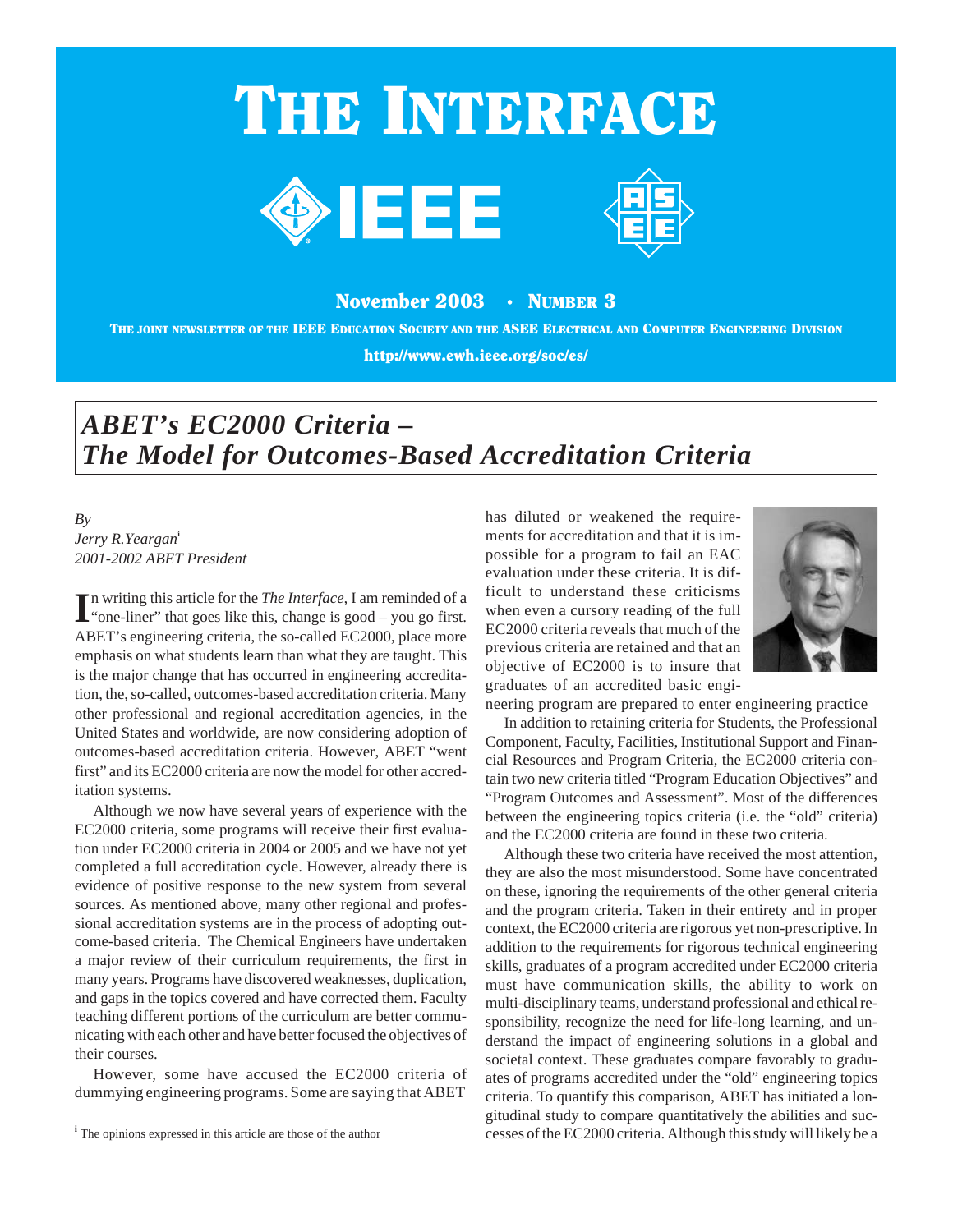# THE INTERFACE





November 2003 • NUMBER 3

THE JOINT NEWSLETTER OF THE IEEE EDUCATION SOCIETY AND THE ASEE ELECTRICAL AND COMPUTER ENGINEERING DIVISION

http://www.ewh.ieee.org/soc/es/

# *ABET's EC2000 Criteria – The Model for Outcomes-Based Accreditation Criteria*

*By Jerry R.Yeargan***<sup>i</sup>** *2001-2002 ABET President*

In writing this article for the *The Interface*, I am reminded of a "one-liner" that goes like this, change is good – you go first. "one-liner" that goes like this, change is good – you go first. ABET's engineering criteria, the so-called EC2000, place more emphasis on what students learn than what they are taught. This is the major change that has occurred in engineering accreditation, the, so-called, outcomes-based accreditation criteria. Many other professional and regional accreditation agencies, in the United States and worldwide, are now considering adoption of outcomes-based accreditation criteria. However, ABET "went first" and its EC2000 criteria are now the model for other accreditation systems.

Although we now have several years of experience with the EC2000 criteria, some programs will receive their first evaluation under EC2000 criteria in 2004 or 2005 and we have not yet completed a full accreditation cycle. However, already there is evidence of positive response to the new system from several sources. As mentioned above, many other regional and professional accreditation systems are in the process of adopting outcome-based criteria. The Chemical Engineers have undertaken a major review of their curriculum requirements, the first in many years. Programs have discovered weaknesses, duplication, and gaps in the topics covered and have corrected them. Faculty teaching different portions of the curriculum are better communicating with each other and have better focused the objectives of their courses.

However, some have accused the EC2000 criteria of dummying engineering programs. Some are saying that ABET

has diluted or weakened the requirements for accreditation and that it is impossible for a program to fail an EAC evaluation under these criteria. It is difficult to understand these criticisms when even a cursory reading of the full EC2000 criteria reveals that much of the previous criteria are retained and that an objective of EC2000 is to insure that graduates of an accredited basic engi-



neering program are prepared to enter engineering practice

In addition to retaining criteria for Students, the Professional Component, Faculty, Facilities, Institutional Support and Financial Resources and Program Criteria, the EC2000 criteria contain two new criteria titled "Program Education Objectives" and "Program Outcomes and Assessment". Most of the differences between the engineering topics criteria (i.e. the "old" criteria) and the EC2000 criteria are found in these two criteria.

Although these two criteria have received the most attention, they are also the most misunderstood. Some have concentrated on these, ignoring the requirements of the other general criteria and the program criteria. Taken in their entirety and in proper context, the EC2000 criteria are rigorous yet non-prescriptive. In addition to the requirements for rigorous technical engineering skills, graduates of a program accredited under EC2000 criteria must have communication skills, the ability to work on multi-disciplinary teams, understand professional and ethical responsibility, recognize the need for life-long learning, and understand the impact of engineering solutions in a global and societal context. These graduates compare favorably to graduates of programs accredited under the "old" engineering topics criteria. To quantify this comparison, ABET has initiated a longitudinal study to compare quantitatively the abilities and successes of the EC2000 criteria. Although this study will likely be a

<sup>&</sup>lt;sup>i</sup> The opinions expressed in this article are those of the author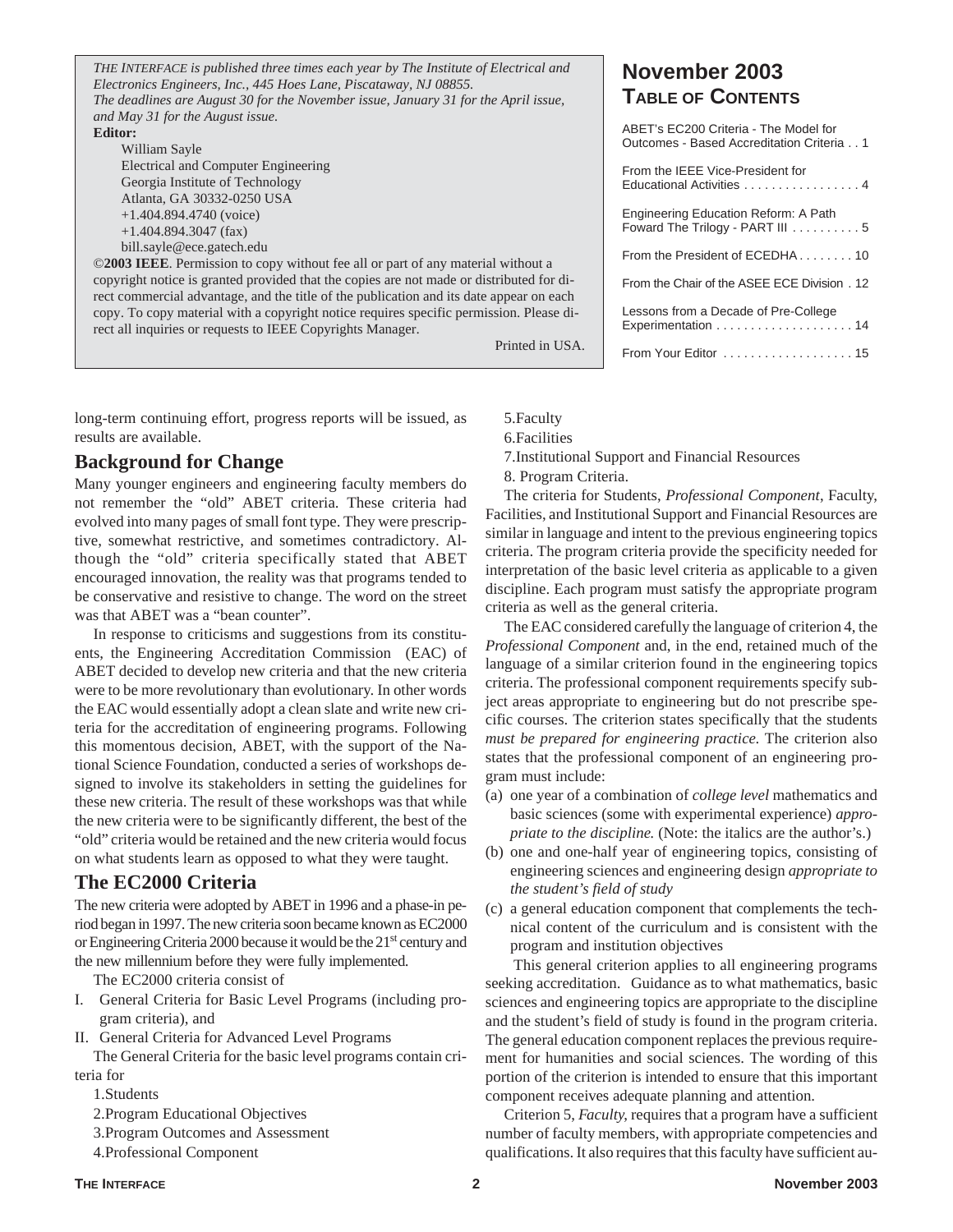| THE INTERFACE is published three times each year by The Institute of Electrical and<br>Electronics Engineers, Inc., 445 Hoes Lane, Piscataway, NJ 08855.<br>The deadlines are August 30 for the November issue, January 31 for the April issue,<br>and May 31 for the August issue. | <b>November 2003</b><br><b>TABLE OF CONTENTS</b>                                   |
|-------------------------------------------------------------------------------------------------------------------------------------------------------------------------------------------------------------------------------------------------------------------------------------|------------------------------------------------------------------------------------|
| <b>Editor:</b><br>William Sayle                                                                                                                                                                                                                                                     | ABET's EC200 Criteria - The Model for<br>Outcomes - Based Accreditation Criteria 1 |
| Electrical and Computer Engineering<br>Georgia Institute of Technology<br>Atlanta, GA 30332-0250 USA                                                                                                                                                                                | From the IEEE Vice-President for<br>Educational Activities  4                      |
| $+1.404.894.4740$ (voice)<br>$+1.404.894.3047$ (fax)                                                                                                                                                                                                                                | Engineering Education Reform: A Path<br>Foward The Trilogy - PART III 5            |
| bill.sayle@ece.gatech.edu<br>©2003 IEEE. Permission to copy without fee all or part of any material without a                                                                                                                                                                       | From the President of ECEDHA10                                                     |
| copyright notice is granted provided that the copies are not made or distributed for di-<br>rect commercial advantage, and the title of the publication and its date appear on each                                                                                                 | From the Chair of the ASEE ECE Division, 12                                        |
| copy. To copy material with a copyright notice requires specific permission. Please di-<br>rect all inquiries or requests to IEEE Copyrights Manager.                                                                                                                               | Lessons from a Decade of Pre-College                                               |
| Printed in USA.                                                                                                                                                                                                                                                                     | From Your Editor 15                                                                |

long-term continuing effort, progress reports will be issued, as results are available.

#### **Background for Change**

Many younger engineers and engineering faculty members do not remember the "old" ABET criteria. These criteria had evolved into many pages of small font type. They were prescriptive, somewhat restrictive, and sometimes contradictory. Although the "old" criteria specifically stated that ABET encouraged innovation, the reality was that programs tended to be conservative and resistive to change. The word on the street was that ABET was a "bean counter".

In response to criticisms and suggestions from its constituents, the Engineering Accreditation Commission (EAC) of ABET decided to develop new criteria and that the new criteria were to be more revolutionary than evolutionary. In other words the EAC would essentially adopt a clean slate and write new criteria for the accreditation of engineering programs. Following this momentous decision, ABET, with the support of the National Science Foundation, conducted a series of workshops designed to involve its stakeholders in setting the guidelines for these new criteria. The result of these workshops was that while the new criteria were to be significantly different, the best of the "old" criteria would be retained and the new criteria would focus on what students learn as opposed to what they were taught.

#### **The EC2000 Criteria**

The new criteria were adopted by ABET in 1996 and a phase-in period began in 1997. The new criteria soon became known as EC2000 or Engineering Criteria 2000 because it would be the 21<sup>st</sup> century and the new millennium before they were fully implemented.

The EC2000 criteria consist of

- I. General Criteria for Basic Level Programs (including program criteria), and
- II. General Criteria for Advanced Level Programs

The General Criteria for the basic level programs contain criteria for

1.Students

2.Program Educational Objectives

- 3.Program Outcomes and Assessment
- 4.Professional Component

5.Faculty 6.Facilities

7.Institutional Support and Financial Resources

8. Program Criteria.

The criteria for Students, *Professional Component*, Faculty, Facilities, and Institutional Support and Financial Resources are similar in language and intent to the previous engineering topics criteria. The program criteria provide the specificity needed for interpretation of the basic level criteria as applicable to a given discipline. Each program must satisfy the appropriate program criteria as well as the general criteria.

The EAC considered carefully the language of criterion 4, the *Professional Component* and, in the end, retained much of the language of a similar criterion found in the engineering topics criteria. The professional component requirements specify subject areas appropriate to engineering but do not prescribe specific courses. The criterion states specifically that the students *must be prepared for engineering practice*. The criterion also states that the professional component of an engineering program must include:

- (a) one year of a combination of *college level* mathematics and basic sciences (some with experimental experience) *appropriate to the discipline.* (Note: the italics are the author's.)
- (b) one and one-half year of engineering topics, consisting of engineering sciences and engineering design *appropriate to the student's field of study*
- (c) a general education component that complements the technical content of the curriculum and is consistent with the program and institution objectives

This general criterion applies to all engineering programs seeking accreditation. Guidance as to what mathematics, basic sciences and engineering topics are appropriate to the discipline and the student's field of study is found in the program criteria. The general education component replaces the previous requirement for humanities and social sciences. The wording of this portion of the criterion is intended to ensure that this important component receives adequate planning and attention.

Criterion 5, *Faculty*, requires that a program have a sufficient number of faculty members, with appropriate competencies and qualifications. It also requires that this faculty have sufficient au-

 $\ldots$  . 15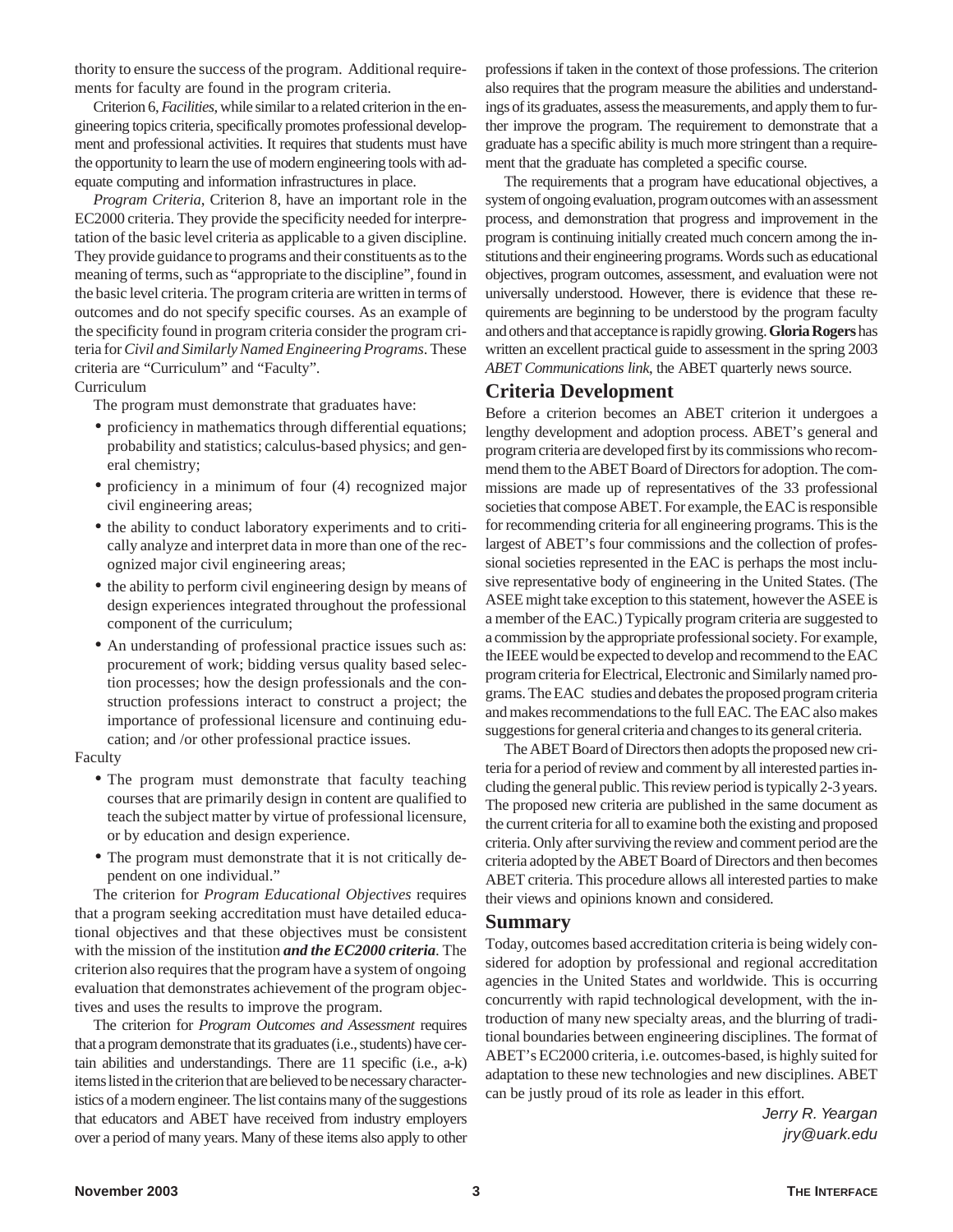thority to ensure the success of the program. Additional requirements for faculty are found in the program criteria.

Criterion 6,*Facilities*, while similar to a related criterion in the engineering topics criteria, specifically promotes professional development and professional activities. It requires that students must have the opportunity to learn the use of modern engineering tools with adequate computing and information infrastructures in place.

*Program Criteria*, Criterion 8, have an important role in the EC2000 criteria. They provide the specificity needed for interpretation of the basic level criteria as applicable to a given discipline. They provide guidance to programs and their constituents as to the meaning of terms, such as "appropriate to the discipline", found in the basic level criteria. The program criteria are written in terms of outcomes and do not specify specific courses. As an example of the specificity found in program criteria consider the program criteria for*Civil and Similarly Named Engineering Programs*. These criteria are "Curriculum" and "Faculty".

#### Curriculum

The program must demonstrate that graduates have:

- proficiency in mathematics through differential equations; probability and statistics; calculus-based physics; and general chemistry;
- proficiency in a minimum of four (4) recognized major civil engineering areas;
- the ability to conduct laboratory experiments and to critically analyze and interpret data in more than one of the recognized major civil engineering areas;
- the ability to perform civil engineering design by means of design experiences integrated throughout the professional component of the curriculum;
- An understanding of professional practice issues such as: procurement of work; bidding versus quality based selection processes; how the design professionals and the construction professions interact to construct a project; the importance of professional licensure and continuing education; and /or other professional practice issues.

#### Faculty

- The program must demonstrate that faculty teaching courses that are primarily design in content are qualified to teach the subject matter by virtue of professional licensure, or by education and design experience.
- The program must demonstrate that it is not critically dependent on one individual."

The criterion for *Program Educational Objectives* requires that a program seeking accreditation must have detailed educational objectives and that these objectives must be consistent with the mission of the institution *and the EC2000 criteria*. The criterion also requires that the program have a system of ongoing evaluation that demonstrates achievement of the program objectives and uses the results to improve the program.

The criterion for *Program Outcomes and Assessment* requires that a program demonstrate that its graduates (i.e., students) have certain abilities and understandings. There are 11 specific (i.e., a-k) items listed in the criterion that are believed to be necessary characteristics of a modern engineer. The list contains many of the suggestions that educators and ABET have received from industry employers over a period of many years. Many of these items also apply to other

professions if taken in the context of those professions. The criterion also requires that the program measure the abilities and understandings of its graduates, assess the measurements, and apply them to further improve the program. The requirement to demonstrate that a graduate has a specific ability is much more stringent than a requirement that the graduate has completed a specific course.

The requirements that a program have educational objectives, a system of ongoing evaluation, program outcomes with an assessment process, and demonstration that progress and improvement in the program is continuing initially created much concern among the institutions and their engineering programs. Words such as educational objectives, program outcomes, assessment, and evaluation were not universally understood. However, there is evidence that these requirements are beginning to be understood by the program faculty and others and that acceptance is rapidly growing. Gloria Rogers has written an excellent practical guide to assessment in the spring 2003 *ABET Communications link*, the ABET quarterly news source.

#### **Criteria Development**

Before a criterion becomes an ABET criterion it undergoes a lengthy development and adoption process. ABET's general and program criteria are developed first by its commissions who recommend them to the ABET Board of Directors for adoption. The commissions are made up of representatives of the 33 professional societies that compose ABET. For example, the EAC is responsible for recommending criteria for all engineering programs. This is the largest of ABET's four commissions and the collection of professional societies represented in the EAC is perhaps the most inclusive representative body of engineering in the United States. (The ASEE might take exception to this statement, however the ASEE is a member of the EAC.) Typically program criteria are suggested to a commission by the appropriate professional society. For example, the IEEE would be expected to develop and recommend to the EAC program criteria for Electrical, Electronic and Similarly named programs. The EAC studies and debates the proposed program criteria and makes recommendations to the full EAC. The EAC also makes suggestions for general criteria and changes to its general criteria.

The ABET Board of Directors then adopts the proposed new criteria for a period of review and comment by all interested parties including the general public. This review period is typically 2-3 years. The proposed new criteria are published in the same document as the current criteria for all to examine both the existing and proposed criteria. Only after surviving the review and comment period are the criteria adopted by the ABET Board of Directors and then becomes ABET criteria. This procedure allows all interested parties to make their views and opinions known and considered.

#### **Summary**

Today, outcomes based accreditation criteria is being widely considered for adoption by professional and regional accreditation agencies in the United States and worldwide. This is occurring concurrently with rapid technological development, with the introduction of many new specialty areas, and the blurring of traditional boundaries between engineering disciplines. The format of ABET's EC2000 criteria, i.e. outcomes-based, is highly suited for adaptation to these new technologies and new disciplines. ABET can be justly proud of its role as leader in this effort.

> Jerry R. Yeargan jry@uark.edu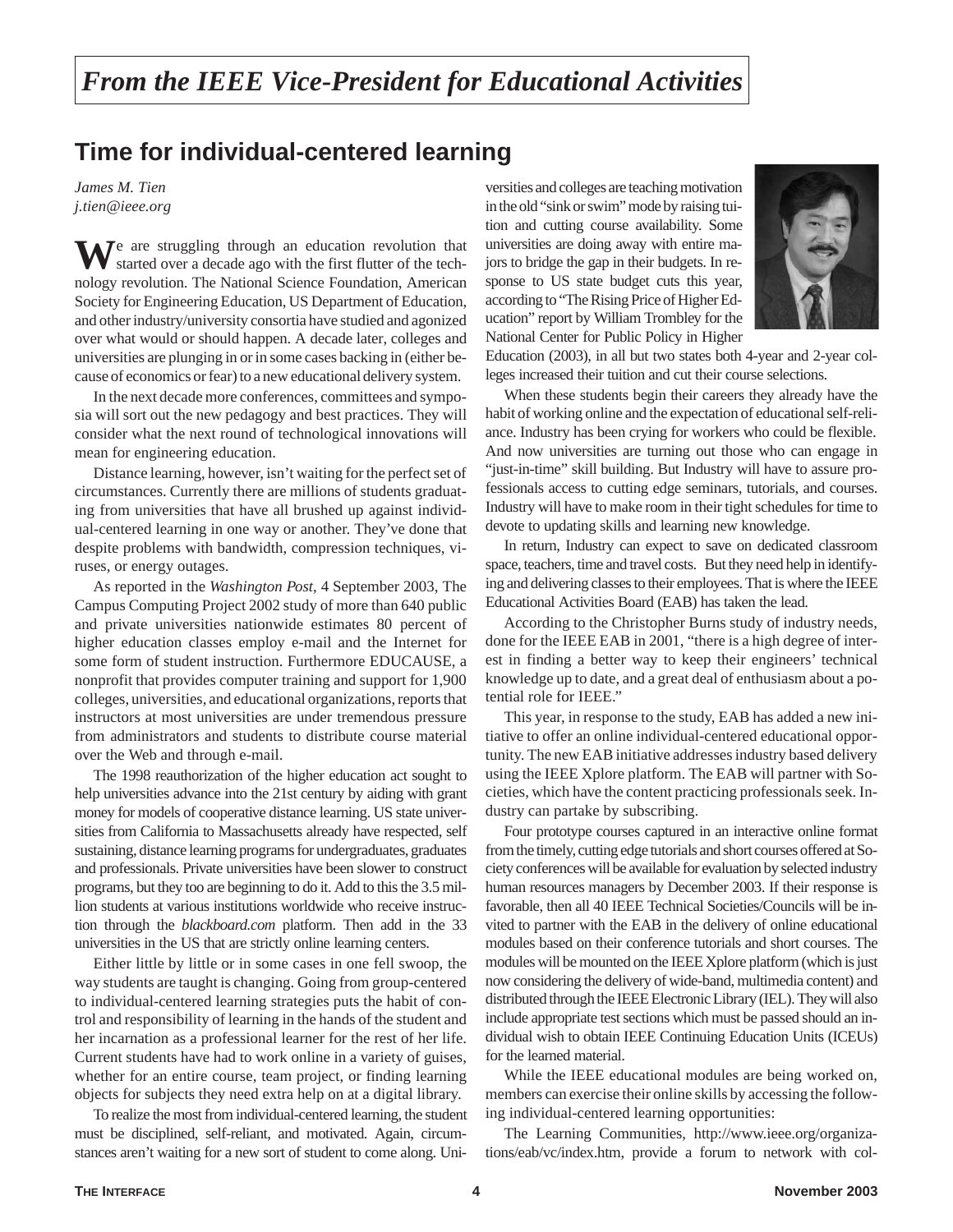## **Time for individual-centered learning**

*James M. Tien j.tien@ieee.org*

We are struggling through an education revolution that started over a decade ago with the first flutter of the technology revolution. The National Science Foundation, American Society for Engineering Education, US Department of Education, and other industry/university consortia have studied and agonized over what would or should happen. A decade later, colleges and universities are plunging in or in some cases backing in (either because of economics or fear) to a new educational delivery system.

In the next decade more conferences, committees and symposia will sort out the new pedagogy and best practices. They will consider what the next round of technological innovations will mean for engineering education.

Distance learning, however, isn't waiting for the perfect set of circumstances. Currently there are millions of students graduating from universities that have all brushed up against individual-centered learning in one way or another. They've done that despite problems with bandwidth, compression techniques, viruses, or energy outages.

As reported in the *Washington Post*, 4 September 2003, The Campus Computing Project 2002 study of more than 640 public and private universities nationwide estimates 80 percent of higher education classes employ e-mail and the Internet for some form of student instruction. Furthermore EDUCAUSE, a nonprofit that provides computer training and support for 1,900 colleges, universities, and educational organizations, reports that instructors at most universities are under tremendous pressure from administrators and students to distribute course material over the Web and through e-mail.

The 1998 reauthorization of the higher education act sought to help universities advance into the 21st century by aiding with grant money for models of cooperative distance learning. US state universities from California to Massachusetts already have respected, self sustaining, distance learning programs for undergraduates, graduates and professionals. Private universities have been slower to construct programs, but they too are beginning to do it. Add to this the 3.5 million students at various institutions worldwide who receive instruction through the *blackboard.com* platform. Then add in the 33 universities in the US that are strictly online learning centers.

Either little by little or in some cases in one fell swoop, the way students are taught is changing. Going from group-centered to individual-centered learning strategies puts the habit of control and responsibility of learning in the hands of the student and her incarnation as a professional learner for the rest of her life. Current students have had to work online in a variety of guises, whether for an entire course, team project, or finding learning objects for subjects they need extra help on at a digital library.

To realize the most from individual-centered learning, the student must be disciplined, self-reliant, and motivated. Again, circumstances aren't waiting for a new sort of student to come along. Universities and colleges are teaching motivation in the old "sink or swim" mode by raising tuition and cutting course availability. Some universities are doing away with entire majors to bridge the gap in their budgets. In response to US state budget cuts this year, according to "The Rising Price of Higher Education" report by William Trombley for the National Center for Public Policy in Higher



Education (2003), in all but two states both 4-year and 2-year colleges increased their tuition and cut their course selections.

When these students begin their careers they already have the habit of working online and the expectation of educational self-reliance. Industry has been crying for workers who could be flexible. And now universities are turning out those who can engage in "just-in-time" skill building. But Industry will have to assure professionals access to cutting edge seminars, tutorials, and courses. Industry will have to make room in their tight schedules for time to devote to updating skills and learning new knowledge.

In return, Industry can expect to save on dedicated classroom space, teachers, time and travel costs. But they need help in identifying and delivering classes to their employees. That is where the IEEE Educational Activities Board (EAB) has taken the lead.

According to the Christopher Burns study of industry needs, done for the IEEE EAB in 2001, "there is a high degree of interest in finding a better way to keep their engineers' technical knowledge up to date, and a great deal of enthusiasm about a potential role for IEEE."

This year, in response to the study, EAB has added a new initiative to offer an online individual-centered educational opportunity. The new EAB initiative addresses industry based delivery using the IEEE Xplore platform. The EAB will partner with Societies, which have the content practicing professionals seek. Industry can partake by subscribing.

Four prototype courses captured in an interactive online format from the timely, cutting edge tutorials and short courses offered at Society conferences will be available for evaluation by selected industry human resources managers by December 2003. If their response is favorable, then all 40 IEEE Technical Societies/Councils will be invited to partner with the EAB in the delivery of online educational modules based on their conference tutorials and short courses. The modules will be mounted on the IEEE Xplore platform (which is just now considering the delivery of wide-band, multimedia content) and distributed through the IEEE Electronic Library (IEL). They will also include appropriate test sections which must be passed should an individual wish to obtain IEEE Continuing Education Units (ICEUs) for the learned material.

While the IEEE educational modules are being worked on, members can exercise their online skills by accessing the following individual-centered learning opportunities:

The Learning Communities, http://www.ieee.org/organizations/eab/vc/index.htm, provide a forum to network with col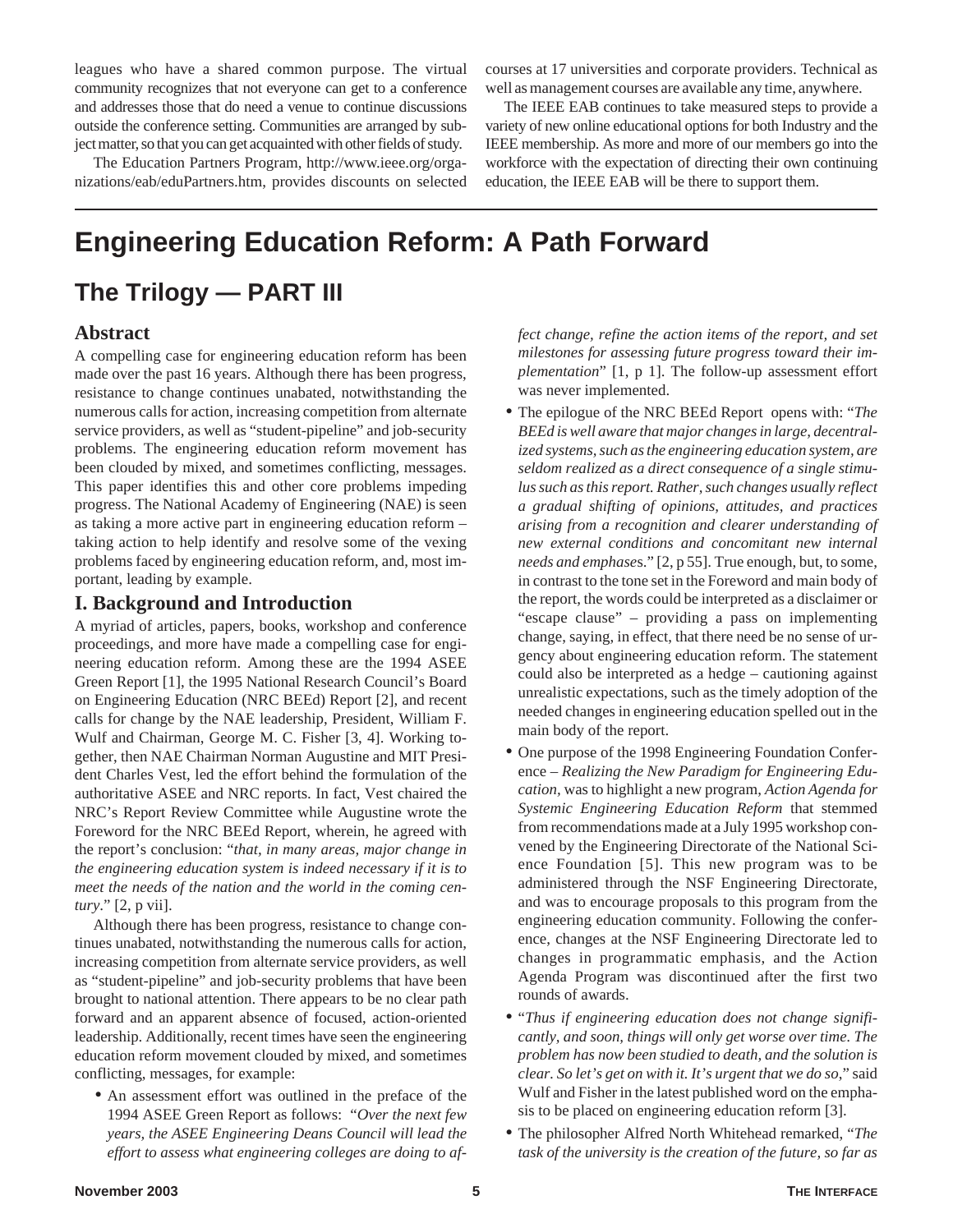leagues who have a shared common purpose. The virtual community recognizes that not everyone can get to a conference and addresses those that do need a venue to continue discussions outside the conference setting. Communities are arranged by subject matter, so that you can get acquainted with other fields of study.

courses at 17 universities and corporate providers. Technical as well as management courses are available any time, anywhere.

The Education Partners Program, http://www.ieee.org/organizations/eab/eduPartners.htm, provides discounts on selected

The IEEE EAB continues to take measured steps to provide a variety of new online educational options for both Industry and the IEEE membership. As more and more of our members go into the workforce with the expectation of directing their own continuing education, the IEEE EAB will be there to support them.

# **Engineering Education Reform: A Path Forward**

## **The Trilogy — PART III**

#### **Abstract**

A compelling case for engineering education reform has been made over the past 16 years. Although there has been progress, resistance to change continues unabated, notwithstanding the numerous calls for action, increasing competition from alternate service providers, as well as "student-pipeline" and job-security problems. The engineering education reform movement has been clouded by mixed, and sometimes conflicting, messages. This paper identifies this and other core problems impeding progress. The National Academy of Engineering (NAE) is seen as taking a more active part in engineering education reform – taking action to help identify and resolve some of the vexing problems faced by engineering education reform, and, most important, leading by example.

#### **I. Background and Introduction**

A myriad of articles, papers, books, workshop and conference proceedings, and more have made a compelling case for engineering education reform. Among these are the 1994 ASEE Green Report [1], the 1995 National Research Council's Board on Engineering Education (NRC BEEd) Report [2], and recent calls for change by the NAE leadership, President, William F. Wulf and Chairman, George M. C. Fisher [3, 4]. Working together, then NAE Chairman Norman Augustine and MIT President Charles Vest, led the effort behind the formulation of the authoritative ASEE and NRC reports. In fact, Vest chaired the NRC's Report Review Committee while Augustine wrote the Foreword for the NRC BEEd Report, wherein, he agreed with the report's conclusion: "*that, in many areas, major change in the engineering education system is indeed necessary if it is to meet the needs of the nation and the world in the coming century*." [2, p vii].

Although there has been progress, resistance to change continues unabated, notwithstanding the numerous calls for action, increasing competition from alternate service providers, as well as "student-pipeline" and job-security problems that have been brought to national attention. There appears to be no clear path forward and an apparent absence of focused, action-oriented leadership. Additionally, recent times have seen the engineering education reform movement clouded by mixed, and sometimes conflicting, messages, for example:

• An assessment effort was outlined in the preface of the 1994 ASEE Green Report as follows: "*Over the next few years, the ASEE Engineering Deans Council will lead the effort to assess what engineering colleges are doing to af-* *fect change, refine the action items of the report, and set milestones for assessing future progress toward their implementation*" [1, p 1]. The follow-up assessment effort was never implemented.

- The epilogue of the NRC BEEd Report opens with: "*The BEEd is well aware that major changes in large, decentralized systems, such as the engineering education system, are seldom realized as a direct consequence of a single stimulus such as this report. Rather, such changes usually reflect a gradual shifting of opinions, attitudes, and practices arising from a recognition and clearer understanding of new external conditions and concomitant new internal needs and emphase*s." [2, p 55]. True enough, but, to some, in contrast to the tone set in the Foreword and main body of the report, the words could be interpreted as a disclaimer or "escape clause" – providing a pass on implementing change, saying, in effect, that there need be no sense of urgency about engineering education reform. The statement could also be interpreted as a hedge – cautioning against unrealistic expectations, such as the timely adoption of the needed changes in engineering education spelled out in the main body of the report.
- One purpose of the 1998 Engineering Foundation Conference – *Realizing the New Paradigm for Engineering Education,* was to highlight a new program, *Action Agenda for Systemic Engineering Education Reform* that stemmed from recommendations made at a July 1995 workshop convened by the Engineering Directorate of the National Science Foundation [5]. This new program was to be administered through the NSF Engineering Directorate, and was to encourage proposals to this program from the engineering education community. Following the conference, changes at the NSF Engineering Directorate led to changes in programmatic emphasis, and the Action Agenda Program was discontinued after the first two rounds of awards.
- "*Thus if engineering education does not change significantly, and soon, things will only get worse over time. The problem has now been studied to death, and the solution is clear. So let's get on with it. It's urgent that we do so*," said Wulf and Fisher in the latest published word on the emphasis to be placed on engineering education reform [3].
- The philosopher Alfred North Whitehead remarked, "*The task of the university is the creation of the future, so far as*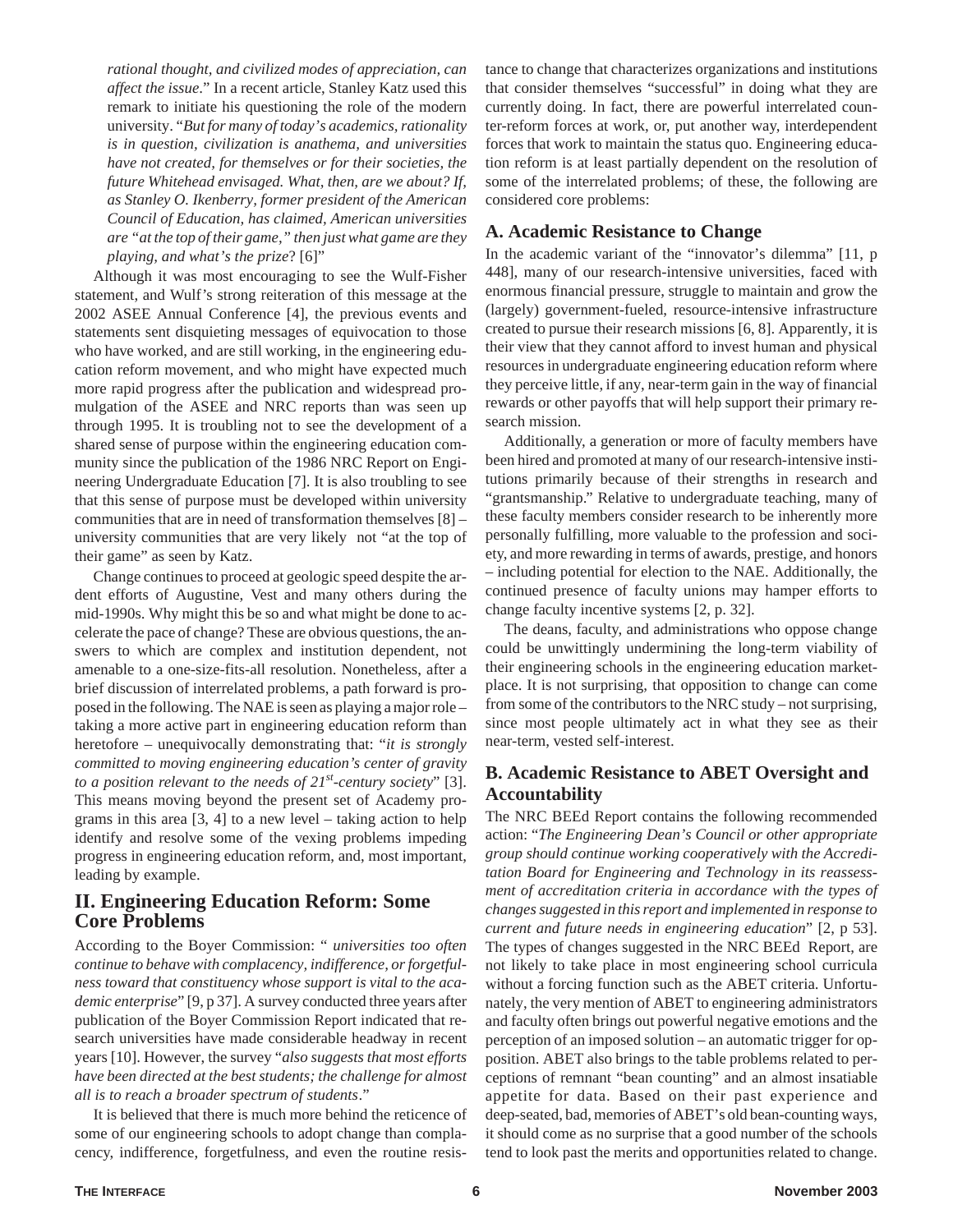*rational thought, and civilized modes of appreciation, can affect the issue*." In a recent article, Stanley Katz used this remark to initiate his questioning the role of the modern university. "*But for many of today's academics, rationality is in question, civilization is anathema, and universities have not created, for themselves or for their societies, the future Whitehead envisaged. What, then, are we about? If, as Stanley O. Ikenberry, former president of the American Council of Education, has claimed, American universities are "at the top of their game," then just what game are they playing, and what's the prize*? [6]"

Although it was most encouraging to see the Wulf-Fisher statement, and Wulf's strong reiteration of this message at the 2002 ASEE Annual Conference [4], the previous events and statements sent disquieting messages of equivocation to those who have worked, and are still working, in the engineering education reform movement, and who might have expected much more rapid progress after the publication and widespread promulgation of the ASEE and NRC reports than was seen up through 1995. It is troubling not to see the development of a shared sense of purpose within the engineering education community since the publication of the 1986 NRC Report on Engineering Undergraduate Education [7]. It is also troubling to see that this sense of purpose must be developed within university communities that are in need of transformation themselves [8] – university communities that are very likely not "at the top of their game" as seen by Katz.

Change continues to proceed at geologic speed despite the ardent efforts of Augustine, Vest and many others during the mid-1990s. Why might this be so and what might be done to accelerate the pace of change? These are obvious questions, the answers to which are complex and institution dependent, not amenable to a one-size-fits-all resolution. Nonetheless, after a brief discussion of interrelated problems, a path forward is proposed in the following. The NAE is seen as playing a major role – taking a more active part in engineering education reform than heretofore – unequivocally demonstrating that: "*it is strongly committed to moving engineering education's center of gravity to a position relevant to the needs of 21st-century society*" [3]. This means moving beyond the present set of Academy programs in this area [3, 4] to a new level – taking action to help identify and resolve some of the vexing problems impeding progress in engineering education reform, and, most important, leading by example.

## **II. Engineering Education Reform: Some Core Problems**

According to the Boyer Commission: " *universities too often continue to behave with complacency, indifference, or forgetfulness toward that constituency whose support is vital to the academic enterprise*" [9, p 37]. A survey conducted three years after publication of the Boyer Commission Report indicated that research universities have made considerable headway in recent years [10]. However, the survey "*also suggests that most efforts have been directed at the best students; the challenge for almost all is to reach a broader spectrum of students*."

It is believed that there is much more behind the reticence of some of our engineering schools to adopt change than complacency, indifference, forgetfulness, and even the routine resistance to change that characterizes organizations and institutions that consider themselves "successful" in doing what they are currently doing. In fact, there are powerful interrelated counter-reform forces at work, or, put another way, interdependent forces that work to maintain the status quo. Engineering education reform is at least partially dependent on the resolution of some of the interrelated problems; of these, the following are considered core problems:

#### **A. Academic Resistance to Change**

In the academic variant of the "innovator's dilemma" [11, p 448], many of our research-intensive universities, faced with enormous financial pressure, struggle to maintain and grow the (largely) government-fueled, resource-intensive infrastructure created to pursue their research missions [6, 8]. Apparently, it is their view that they cannot afford to invest human and physical resources in undergraduate engineering education reform where they perceive little, if any, near-term gain in the way of financial rewards or other payoffs that will help support their primary research mission.

Additionally, a generation or more of faculty members have been hired and promoted at many of our research-intensive institutions primarily because of their strengths in research and "grantsmanship." Relative to undergraduate teaching, many of these faculty members consider research to be inherently more personally fulfilling, more valuable to the profession and society, and more rewarding in terms of awards, prestige, and honors – including potential for election to the NAE. Additionally, the continued presence of faculty unions may hamper efforts to change faculty incentive systems [2, p. 32].

The deans, faculty, and administrations who oppose change could be unwittingly undermining the long-term viability of their engineering schools in the engineering education marketplace. It is not surprising, that opposition to change can come from some of the contributors to the NRC study – not surprising, since most people ultimately act in what they see as their near-term, vested self-interest.

## **B. Academic Resistance to ABET Oversight and Accountability**

The NRC BEEd Report contains the following recommended action: "*The Engineering Dean's Council or other appropriate group should continue working cooperatively with the Accreditation Board for Engineering and Technology in its reassessment of accreditation criteria in accordance with the types of changes suggested in this report and implemented in response to current and future needs in engineering education*" [2, p 53]. The types of changes suggested in the NRC BEEd Report, are not likely to take place in most engineering school curricula without a forcing function such as the ABET criteria. Unfortunately, the very mention of ABET to engineering administrators and faculty often brings out powerful negative emotions and the perception of an imposed solution – an automatic trigger for opposition. ABET also brings to the table problems related to perceptions of remnant "bean counting" and an almost insatiable appetite for data. Based on their past experience and deep-seated, bad, memories of ABET's old bean-counting ways, it should come as no surprise that a good number of the schools tend to look past the merits and opportunities related to change.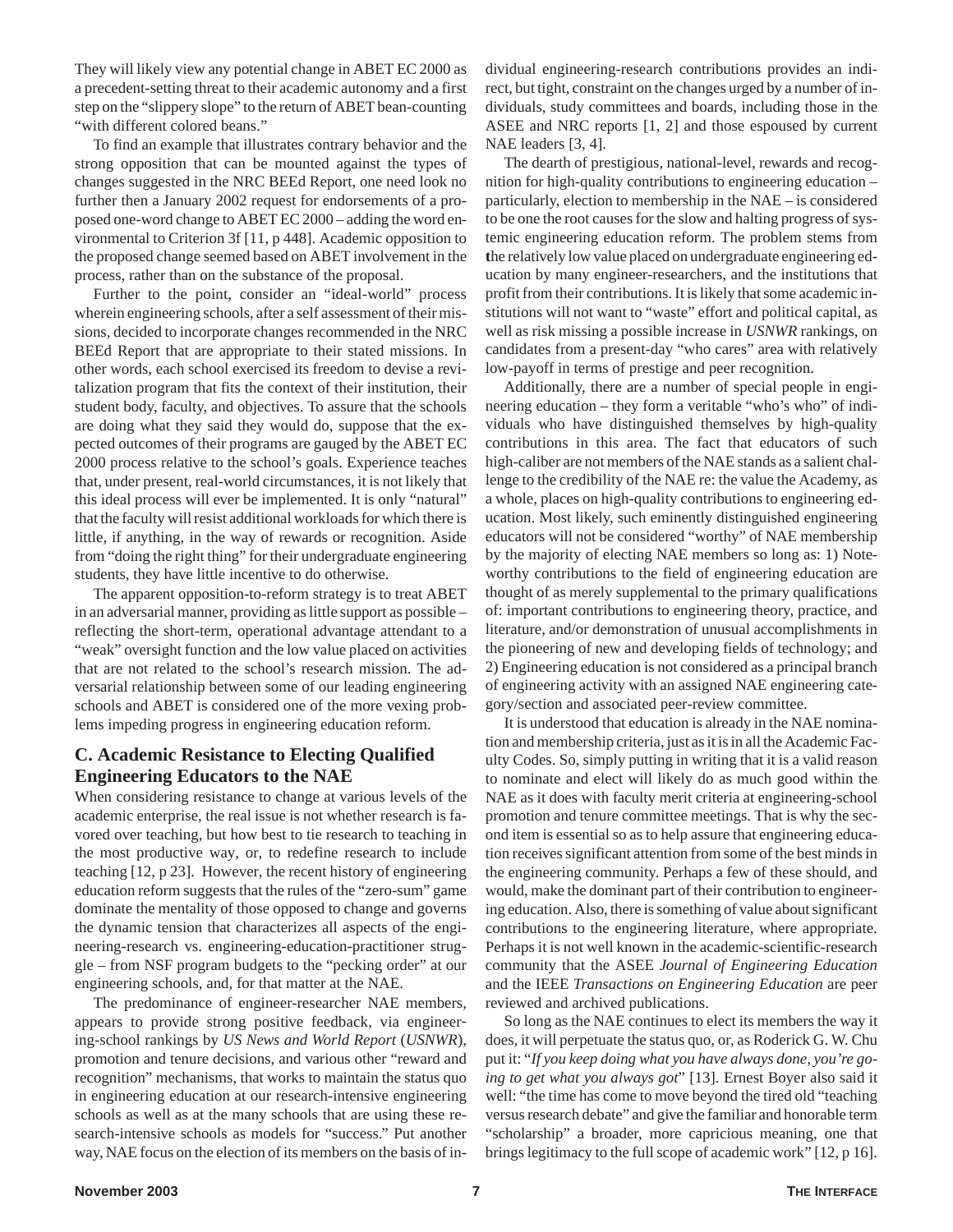They will likely view any potential change in ABET EC 2000 as a precedent-setting threat to their academic autonomy and a first step on the "slippery slope" to the return of ABET bean-counting "with different colored beans."

To find an example that illustrates contrary behavior and the strong opposition that can be mounted against the types of changes suggested in the NRC BEEd Report, one need look no further then a January 2002 request for endorsements of a proposed one-word change to ABET EC 2000 – adding the word environmental to Criterion 3f [11, p 448]. Academic opposition to the proposed change seemed based on ABET involvement in the process, rather than on the substance of the proposal.

Further to the point, consider an "ideal-world" process wherein engineering schools, after a self assessment of their missions, decided to incorporate changes recommended in the NRC BEEd Report that are appropriate to their stated missions. In other words, each school exercised its freedom to devise a revitalization program that fits the context of their institution, their student body, faculty, and objectives. To assure that the schools are doing what they said they would do, suppose that the expected outcomes of their programs are gauged by the ABET EC 2000 process relative to the school's goals. Experience teaches that, under present, real-world circumstances, it is not likely that this ideal process will ever be implemented. It is only "natural" that the faculty will resist additional workloads for which there is little, if anything, in the way of rewards or recognition. Aside from "doing the right thing" for their undergraduate engineering students, they have little incentive to do otherwise.

The apparent opposition-to-reform strategy is to treat ABET in an adversarial manner, providing as little support as possible – reflecting the short-term, operational advantage attendant to a "weak" oversight function and the low value placed on activities that are not related to the school's research mission. The adversarial relationship between some of our leading engineering schools and ABET is considered one of the more vexing problems impeding progress in engineering education reform.

#### **C. Academic Resistance to Electing Qualified Engineering Educators to the NAE**

When considering resistance to change at various levels of the academic enterprise, the real issue is not whether research is favored over teaching, but how best to tie research to teaching in the most productive way, or, to redefine research to include teaching [12, p 23]. However, the recent history of engineering education reform suggests that the rules of the "zero-sum" game dominate the mentality of those opposed to change and governs the dynamic tension that characterizes all aspects of the engineering-research vs. engineering-education-practitioner struggle – from NSF program budgets to the "pecking order" at our engineering schools, and, for that matter at the NAE.

The predominance of engineer-researcher NAE members, appears to provide strong positive feedback, via engineering-school rankings by *US News and World Report* (*USNWR*), promotion and tenure decisions, and various other "reward and recognition" mechanisms, that works to maintain the status quo in engineering education at our research-intensive engineering schools as well as at the many schools that are using these research-intensive schools as models for "success." Put another way, NAE focus on the election of its members on the basis of in-

dividual engineering-research contributions provides an indirect, but tight, constraint on the changes urged by a number of individuals, study committees and boards, including those in the ASEE and NRC reports [1, 2] and those espoused by current NAE leaders [3, 4].

The dearth of prestigious, national-level, rewards and recognition for high-quality contributions to engineering education – particularly, election to membership in the NAE – is considered to be one the root causes for the slow and halting progress of systemic engineering education reform. The problem stems from **t**he relatively low value placed on undergraduate engineering education by many engineer-researchers, and the institutions that profit from their contributions. It is likely that some academic institutions will not want to "waste" effort and political capital, as well as risk missing a possible increase in *USNWR* rankings, on candidates from a present-day "who cares" area with relatively low-payoff in terms of prestige and peer recognition.

Additionally, there are a number of special people in engineering education – they form a veritable "who's who" of individuals who have distinguished themselves by high-quality contributions in this area. The fact that educators of such high-caliber are not members of the NAE stands as a salient challenge to the credibility of the NAE re: the value the Academy, as a whole, places on high-quality contributions to engineering education. Most likely, such eminently distinguished engineering educators will not be considered "worthy" of NAE membership by the majority of electing NAE members so long as: 1) Noteworthy contributions to the field of engineering education are thought of as merely supplemental to the primary qualifications of: important contributions to engineering theory, practice, and literature, and/or demonstration of unusual accomplishments in the pioneering of new and developing fields of technology; and 2) Engineering education is not considered as a principal branch of engineering activity with an assigned NAE engineering category/section and associated peer-review committee.

It is understood that education is already in the NAE nomination and membership criteria, just as it is in all the Academic Faculty Codes. So, simply putting in writing that it is a valid reason to nominate and elect will likely do as much good within the NAE as it does with faculty merit criteria at engineering-school promotion and tenure committee meetings. That is why the second item is essential so as to help assure that engineering education receives significant attention from some of the best minds in the engineering community. Perhaps a few of these should, and would, make the dominant part of their contribution to engineering education. Also, there is something of value about significant contributions to the engineering literature, where appropriate. Perhaps it is not well known in the academic-scientific-research community that the ASEE *Journal of Engineering Education* and the IEEE *Transactions on Engineering Education* are peer reviewed and archived publications.

So long as the NAE continues to elect its members the way it does, it will perpetuate the status quo, or, as Roderick G. W. Chu put it: "*If you keep doing what you have always done, you're going to get what you always got*" [13]. Ernest Boyer also said it well: "the time has come to move beyond the tired old "teaching versus research debate" and give the familiar and honorable term "scholarship" a broader, more capricious meaning, one that brings legitimacy to the full scope of academic work" [12, p 16].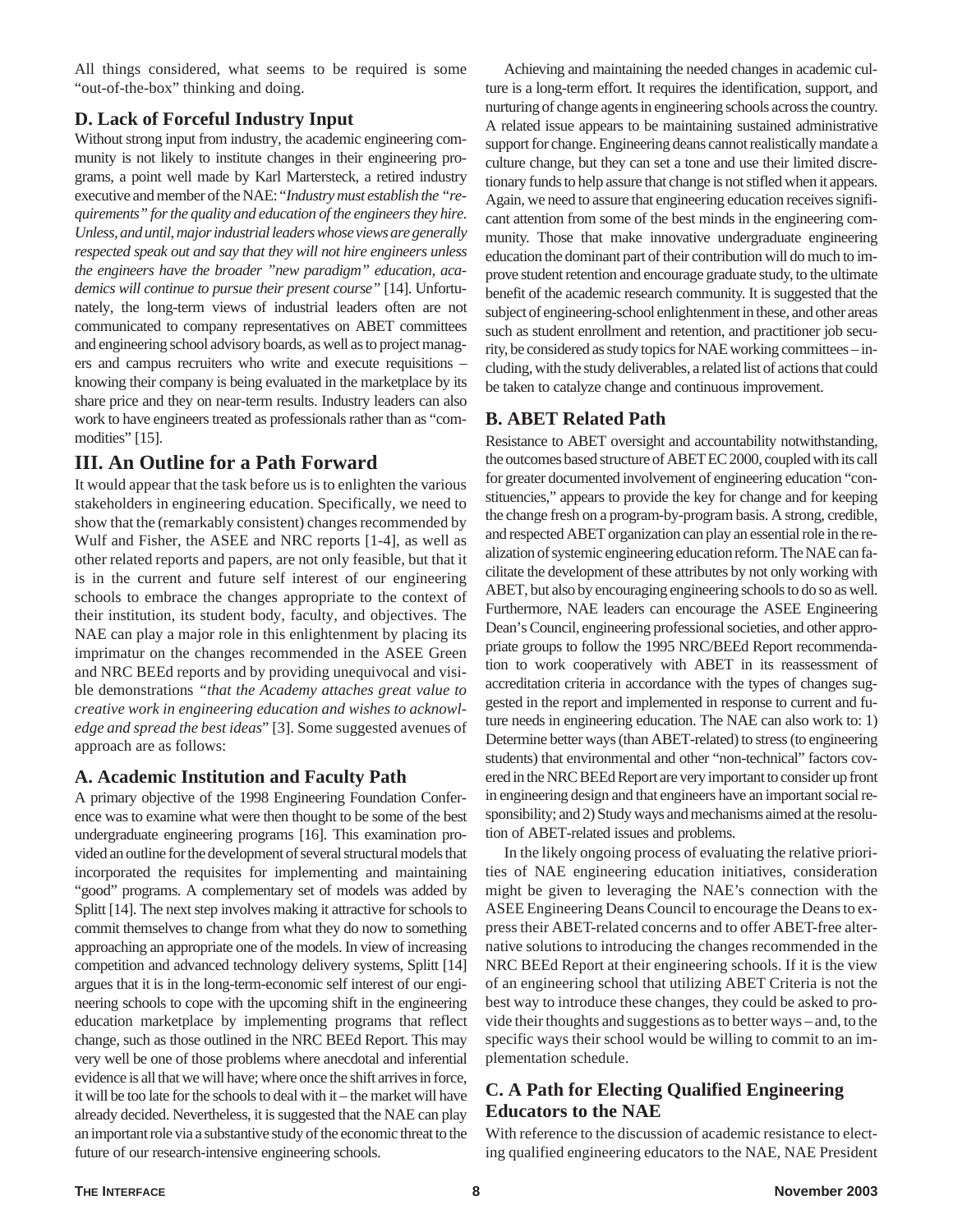All things considered, what seems to be required is some "out-of-the-box" thinking and doing.

#### **D. Lack of Forceful Industry Input**

Without strong input from industry, the academic engineering community is not likely to institute changes in their engineering programs, a point well made by Karl Martersteck, a retired industry executive and member of the NAE: "*Industry must establish the "requirements" for the quality and education of the engineers they hire. Unless,anduntil,majorindustrialleaderswhoseviewsaregenerally respected speak out and say that they will not hire engineers unless the engineers have the broader "new paradigm" education, academics will continue to pursue their present course"* [14]. Unfortunately, the long-term views of industrial leaders often are not communicated to company representatives on ABET committees and engineering school advisory boards, as well as to project managers and campus recruiters who write and execute requisitions – knowing their company is being evaluated in the marketplace by its share price and they on near-term results. Industry leaders can also work to have engineers treated as professionals rather than as "commodities" [15].

#### **III. An Outline for a Path Forward**

It would appear that the task before us is to enlighten the various stakeholders in engineering education. Specifically, we need to show that the (remarkably consistent) changes recommended by Wulf and Fisher, the ASEE and NRC reports [1-4], as well as other related reports and papers, are not only feasible, but that it is in the current and future self interest of our engineering schools to embrace the changes appropriate to the context of their institution, its student body, faculty, and objectives. The NAE can play a major role in this enlightenment by placing its imprimatur on the changes recommended in the ASEE Green and NRC BEEd reports and by providing unequivocal and visible demonstrations *"that the Academy attaches great value to creative work in engineering education and wishes to acknowledge and spread the best ideas*" [3]. Some suggested avenues of approach are as follows:

#### **A. Academic Institution and Faculty Path**

A primary objective of the 1998 Engineering Foundation Conference was to examine what were then thought to be some of the best undergraduate engineering programs [16]. This examination provided an outline for the development of several structural models that incorporated the requisites for implementing and maintaining "good" programs. A complementary set of models was added by Splitt [14]. The next step involves making it attractive for schools to commit themselves to change from what they do now to something approaching an appropriate one of the models. In view of increasing competition and advanced technology delivery systems, Splitt [14] argues that it is in the long-term-economic self interest of our engineering schools to cope with the upcoming shift in the engineering education marketplace by implementing programs that reflect change, such as those outlined in the NRC BEEd Report. This may very well be one of those problems where anecdotal and inferential evidence is all that we will have; where once the shift arrives in force, it will be too late for the schools to deal with it – the market will have already decided. Nevertheless, it is suggested that the NAE can play an important role via a substantive study of the economic threat to the future of our research-intensive engineering schools.

Achieving and maintaining the needed changes in academic culture is a long-term effort. It requires the identification, support, and nurturing of change agents in engineering schools across the country. A related issue appears to be maintaining sustained administrative support for change. Engineering deans cannot realistically mandate a culture change, but they can set a tone and use their limited discretionary funds to help assure that change is not stifled when it appears. Again, we need to assure that engineering education receives significant attention from some of the best minds in the engineering community. Those that make innovative undergraduate engineering education the dominant part of their contribution will do much to improve student retention and encourage graduate study, to the ultimate benefit of the academic research community. It is suggested that the subject of engineering-school enlightenment in these, and other areas such as student enrollment and retention, and practitioner job security, be considered as study topics for NAE working committees – including, with the study deliverables, a related list of actions that could be taken to catalyze change and continuous improvement.

#### **B. ABET Related Path**

Resistance to ABET oversight and accountability notwithstanding, the outcomes based structure of ABET EC 2000, coupled with its call for greater documented involvement of engineering education "constituencies," appears to provide the key for change and for keeping the change fresh on a program-by-program basis. A strong, credible, and respected ABET organization can play an essential role in the realization of systemic engineering education reform. The NAE can facilitate the development of these attributes by not only working with ABET, but also by encouraging engineering schools to do so as well. Furthermore, NAE leaders can encourage the ASEE Engineering Dean's Council, engineering professional societies, and other appropriate groups to follow the 1995 NRC/BEEd Report recommendation to work cooperatively with ABET in its reassessment of accreditation criteria in accordance with the types of changes suggested in the report and implemented in response to current and future needs in engineering education. The NAE can also work to: 1) Determine better ways (than ABET-related) to stress (to engineering students) that environmental and other "non-technical" factors covered in the NRC BEEd Report are very important to consider up front in engineering design and that engineers have an important social responsibility; and 2) Study ways and mechanisms aimed at the resolution of ABET-related issues and problems.

In the likely ongoing process of evaluating the relative priorities of NAE engineering education initiatives, consideration might be given to leveraging the NAE's connection with the ASEE Engineering Deans Council to encourage the Deans to express their ABET-related concerns and to offer ABET-free alternative solutions to introducing the changes recommended in the NRC BEEd Report at their engineering schools. If it is the view of an engineering school that utilizing ABET Criteria is not the best way to introduce these changes, they could be asked to provide their thoughts and suggestions as to better ways – and, to the specific ways their school would be willing to commit to an implementation schedule.

#### **C. A Path for Electing Qualified Engineering Educators to the NAE**

With reference to the discussion of academic resistance to electing qualified engineering educators to the NAE, NAE President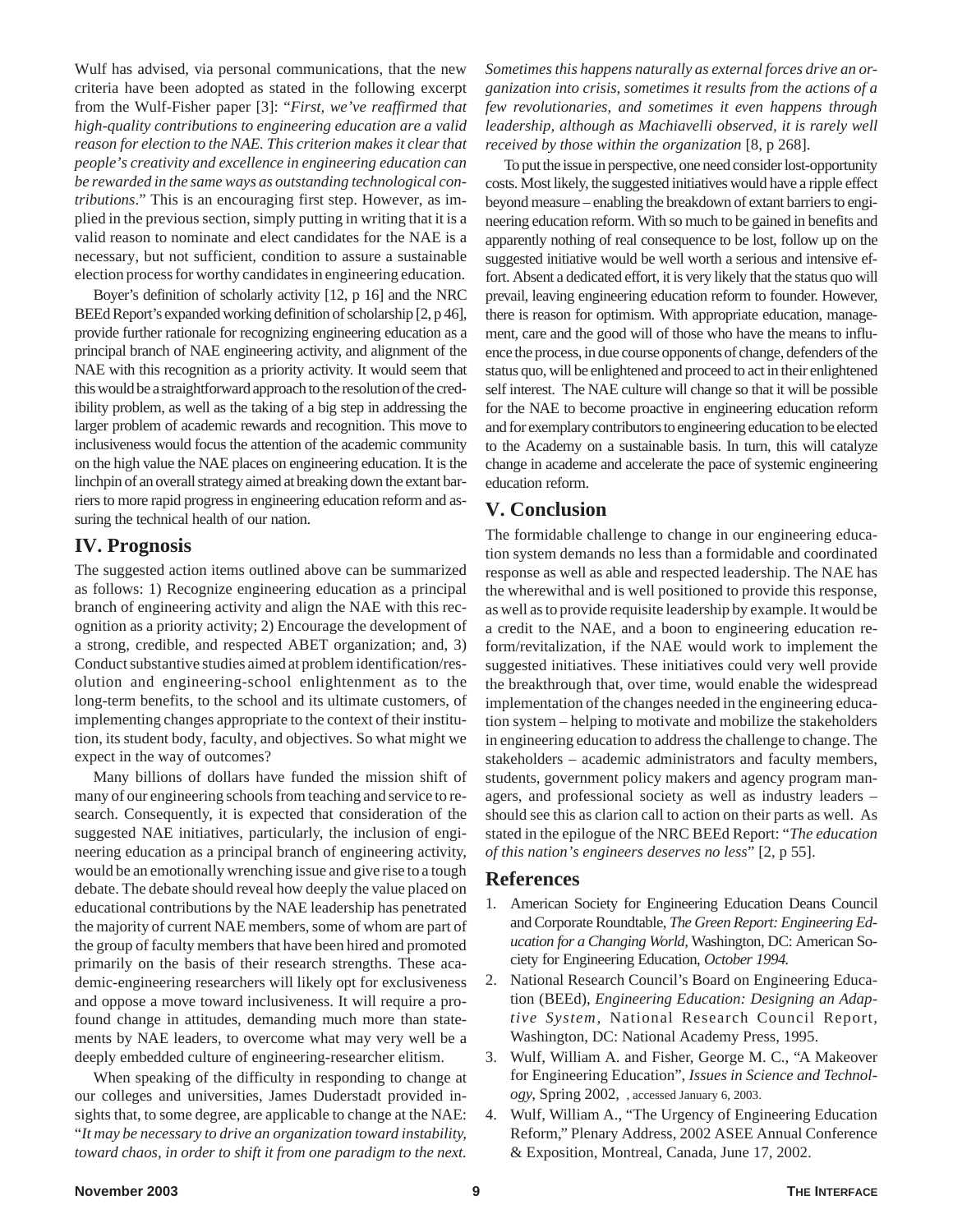Wulf has advised, via personal communications, that the new criteria have been adopted as stated in the following excerpt from the Wulf-Fisher paper [3]: "*First, we've reaffirmed that high-quality contributions to engineering education are a valid reason for election to the NAE. This criterion makes it clear that people's creativity and excellence in engineering education can be rewarded in the same ways as outstanding technological contributions*." This is an encouraging first step. However, as implied in the previous section, simply putting in writing that it is a valid reason to nominate and elect candidates for the NAE is a necessary, but not sufficient, condition to assure a sustainable election process for worthy candidates in engineering education.

Boyer's definition of scholarly activity [12, p 16] and the NRC BEEd Report's expanded working definition of scholarship [2, p 46], provide further rationale for recognizing engineering education as a principal branch of NAE engineering activity, and alignment of the NAE with this recognition as a priority activity. It would seem that this would be a straightforward approach to the resolution of the credibility problem, as well as the taking of a big step in addressing the larger problem of academic rewards and recognition. This move to inclusiveness would focus the attention of the academic community on the high value the NAE places on engineering education. It is the linchpin of an overall strategy aimed at breaking down the extant barriers to more rapid progress in engineering education reform and assuring the technical health of our nation.

#### **IV. Prognosis**

The suggested action items outlined above can be summarized as follows: 1) Recognize engineering education as a principal branch of engineering activity and align the NAE with this recognition as a priority activity; 2) Encourage the development of a strong, credible, and respected ABET organization; and, 3) Conduct substantive studies aimed at problem identification/resolution and engineering-school enlightenment as to the long-term benefits, to the school and its ultimate customers, of implementing changes appropriate to the context of their institution, its student body, faculty, and objectives. So what might we expect in the way of outcomes?

Many billions of dollars have funded the mission shift of many of our engineering schools from teaching and service to research. Consequently, it is expected that consideration of the suggested NAE initiatives, particularly, the inclusion of engineering education as a principal branch of engineering activity, would be an emotionally wrenching issue and give rise to a tough debate. The debate should reveal how deeply the value placed on educational contributions by the NAE leadership has penetrated the majority of current NAE members, some of whom are part of the group of faculty members that have been hired and promoted primarily on the basis of their research strengths. These academic-engineering researchers will likely opt for exclusiveness and oppose a move toward inclusiveness. It will require a profound change in attitudes, demanding much more than statements by NAE leaders, to overcome what may very well be a deeply embedded culture of engineering-researcher elitism.

When speaking of the difficulty in responding to change at our colleges and universities, James Duderstadt provided insights that, to some degree, are applicable to change at the NAE: "*It may be necessary to drive an organization toward instability, toward chaos, in order to shift it from one paradigm to the next.*

*Sometimes this happens naturally as external forces drive an organization into crisis, sometimes it results from the actions of a few revolutionaries, and sometimes it even happens through leadership, although as Machiavelli observed, it is rarely well received by those within the organization* [8, p 268].

To put the issue in perspective, one need consider lost-opportunity costs. Most likely, the suggested initiatives would have a ripple effect beyond measure – enabling the breakdown of extant barriers to engineering education reform. With so much to be gained in benefits and apparently nothing of real consequence to be lost, follow up on the suggested initiative would be well worth a serious and intensive effort. Absent a dedicated effort, it is very likely that the status quo will prevail, leaving engineering education reform to founder. However, there is reason for optimism. With appropriate education, management, care and the good will of those who have the means to influence the process, in due course opponents of change, defenders of the status quo, will be enlightened and proceed to act in their enlightened self interest. The NAE culture will change so that it will be possible for the NAE to become proactive in engineering education reform and for exemplary contributors to engineering education to be elected to the Academy on a sustainable basis. In turn, this will catalyze change in academe and accelerate the pace of systemic engineering education reform.

#### **V. Conclusion**

The formidable challenge to change in our engineering education system demands no less than a formidable and coordinated response as well as able and respected leadership. The NAE has the wherewithal and is well positioned to provide this response, as well as to provide requisite leadership by example. It would be a credit to the NAE, and a boon to engineering education reform/revitalization, if the NAE would work to implement the suggested initiatives. These initiatives could very well provide the breakthrough that, over time, would enable the widespread implementation of the changes needed in the engineering education system – helping to motivate and mobilize the stakeholders in engineering education to address the challenge to change. The stakeholders – academic administrators and faculty members, students, government policy makers and agency program managers, and professional society as well as industry leaders – should see this as clarion call to action on their parts as well. As stated in the epilogue of the NRC BEEd Report: "*The education of this nation's engineers deserves no less*" [2, p 55].

#### **References**

- 1. American Society for Engineering Education Deans Council and Corporate Roundtable, *The Green Report: Engineering Education for a Changing World,* Washington, DC: American Society for Engineering Education, *October 1994.*
- 2. National Research Council's Board on Engineering Education (BEEd), *Engineering Education: Designing an Adaptive System*, National Research Council Report*,* Washington, DC: National Academy Press, 1995.
- 3. Wulf, William A. and Fisher, George M. C., "A Makeover for Engineering Education", *Issues in Science and Technology*, Spring 2002, , accessed January 6, 2003.
- 4. Wulf, William A., "The Urgency of Engineering Education Reform," Plenary Address, 2002 ASEE Annual Conference & Exposition, Montreal, Canada, June 17, 2002.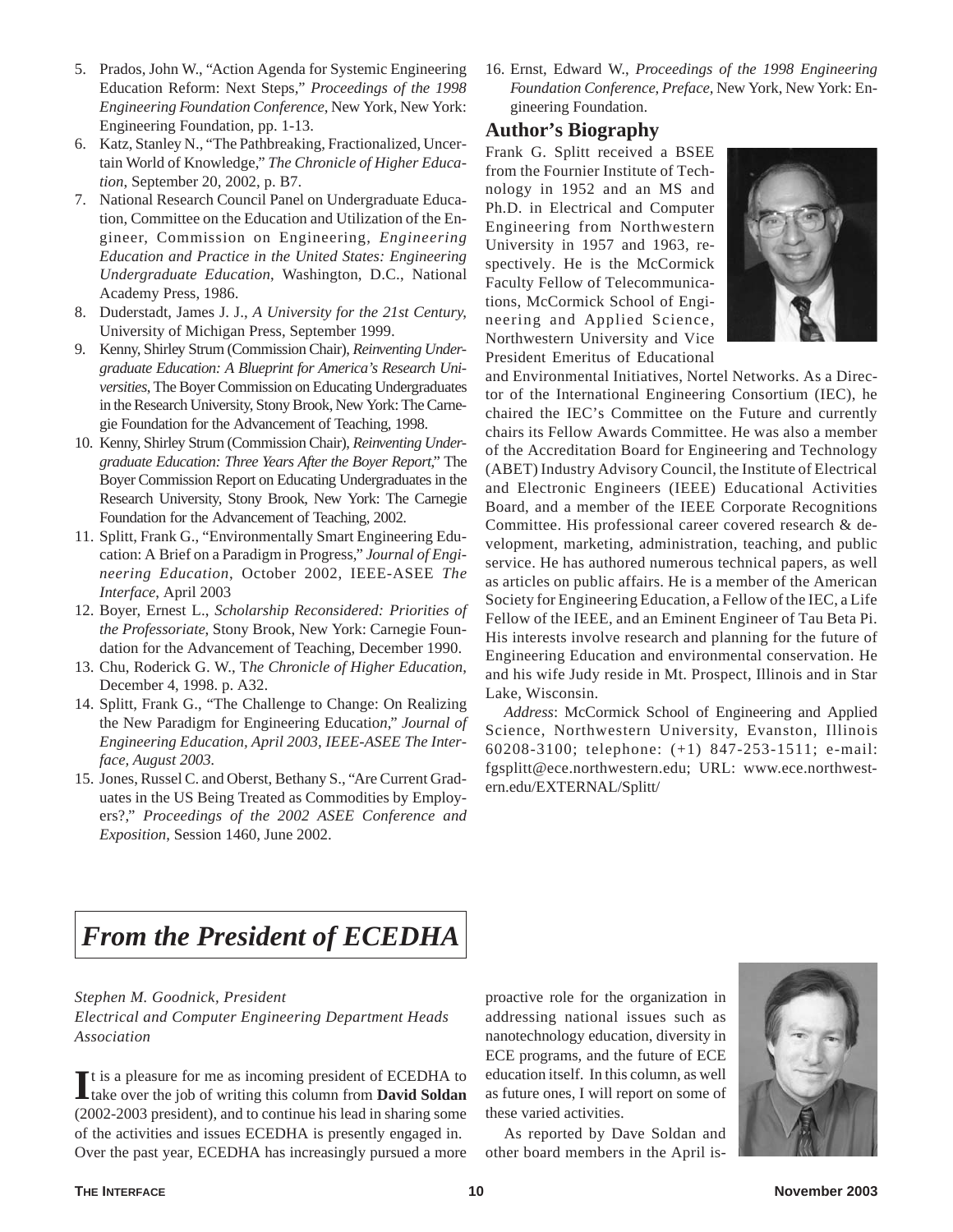- 5. Prados, John W., "Action Agenda for Systemic Engineering Education Reform: Next Steps*," Proceedings of the 1998 Engineering Foundation Conference*, New York, New York: Engineering Foundation, pp. 1-13.
- 6. Katz, Stanley N., "The Pathbreaking, Fractionalized, Uncertain World of Knowledge," *The Chronicle of Higher Education*, September 20, 2002, p. B7.
- 7. National Research Council Panel on Undergraduate Education, Committee on the Education and Utilization of the Engineer, Commission on Engineering, *Engineering Education and Practice in the United States: Engineering Undergraduate Education*, Washington, D.C., National Academy Press, 1986.
- 8. Duderstadt, James J. J., *A University for the 21st Century*, University of Michigan Press, September 1999.
- 9. Kenny, Shirley Strum (Commission Chair), *Reinventing Undergraduate Education: A Blueprint for America's Research Universities*, The Boyer Commission on Educating Undergraduates in the Research University, Stony Brook, New York: The Carnegie Foundation for the Advancement of Teaching, 1998.
- 10. Kenny, Shirley Strum (Commission Chair), *Reinventing Undergraduate Education: Three Years After the Boyer Report*," The Boyer Commission Report on Educating Undergraduates in the Research University, Stony Brook, New York: The Carnegie Foundation for the Advancement of Teaching, 2002.
- 11. Splitt, Frank G., "Environmentally Smart Engineering Education: A Brief on a Paradigm in Progress," *Journal of Engineering Education*, October 2002, IEEE-ASEE *The Interface*, April 2003
- 12. Boyer, Ernest L., *Scholarship Reconsidered: Priorities of the Professoriate*, Stony Brook, New York: Carnegie Foundation for the Advancement of Teaching, December 1990.
- 13. Chu, Roderick G. W., T*he Chronicle of Higher Education*, December 4, 1998. p. A32.
- 14. Splitt, Frank G., "The Challenge to Change: On Realizing the New Paradigm for Engineering Educatio*n*," *Journal of Engineering Education, April 2003, IEEE-ASEE The Interface, August 2003.*
- 15. Jones, Russel C. and Oberst, Bethany S., "Are Current Graduates in the US Being Treated as Commodities by Employers?," *Proceedings of the 2002 ASEE Conference and Exposition*, Session 1460, June 2002.

16. Ernst, Edward W., *Proceedings of the 1998 Engineering Foundation Conference*, *Preface,* New York, New York: Engineering Foundation.

#### **Author's Biography**

Frank G. Splitt received a BSEE from the Fournier Institute of Technology in 1952 and an MS and Ph.D. in Electrical and Computer Engineering from Northwestern University in 1957 and 1963, respectively. He is the McCormick Faculty Fellow of Telecommunications, McCormick School of Engineering and Applied Science, Northwestern University and Vice President Emeritus of Educational



and Environmental Initiatives, Nortel Networks. As a Director of the International Engineering Consortium (IEC), he chaired the IEC's Committee on the Future and currently chairs its Fellow Awards Committee. He was also a member of the Accreditation Board for Engineering and Technology (ABET) Industry Advisory Council, the Institute of Electrical and Electronic Engineers (IEEE) Educational Activities Board, and a member of the IEEE Corporate Recognitions Committee. His professional career covered research & development, marketing, administration, teaching, and public service. He has authored numerous technical papers, as well as articles on public affairs. He is a member of the American Society for Engineering Education, a Fellow of the IEC, a Life Fellow of the IEEE, and an Eminent Engineer of Tau Beta Pi. His interests involve research and planning for the future of Engineering Education and environmental conservation. He and his wife Judy reside in Mt. Prospect, Illinois and in Star Lake, Wisconsin.

*Address*: McCormick School of Engineering and Applied Science, Northwestern University, Evanston, Illinois 60208-3100; telephone: (+1) 847-253-1511; e-mail: fgsplitt@ece.northwestern.edu; URL: www.ece.northwestern.edu/EXTERNAL/Splitt/

# *From the President of ECEDHA*

## *Stephen M. Goodnick, President*

*Electrical and Computer Engineering Department Heads Association*

It is a pleasure for me as incoming president of ECEDHA to take over the job of writing this column from **David Soldan** take over the job of writing this column from **David Soldan** (2002-2003 president), and to continue his lead in sharing some of the activities and issues ECEDHA is presently engaged in. Over the past year, ECEDHA has increasingly pursued a more proactive role for the organization in addressing national issues such as nanotechnology education, diversity in ECE programs, and the future of ECE education itself. In this column, as well as future ones, I will report on some of these varied activities.

As reported by Dave Soldan and other board members in the April is-

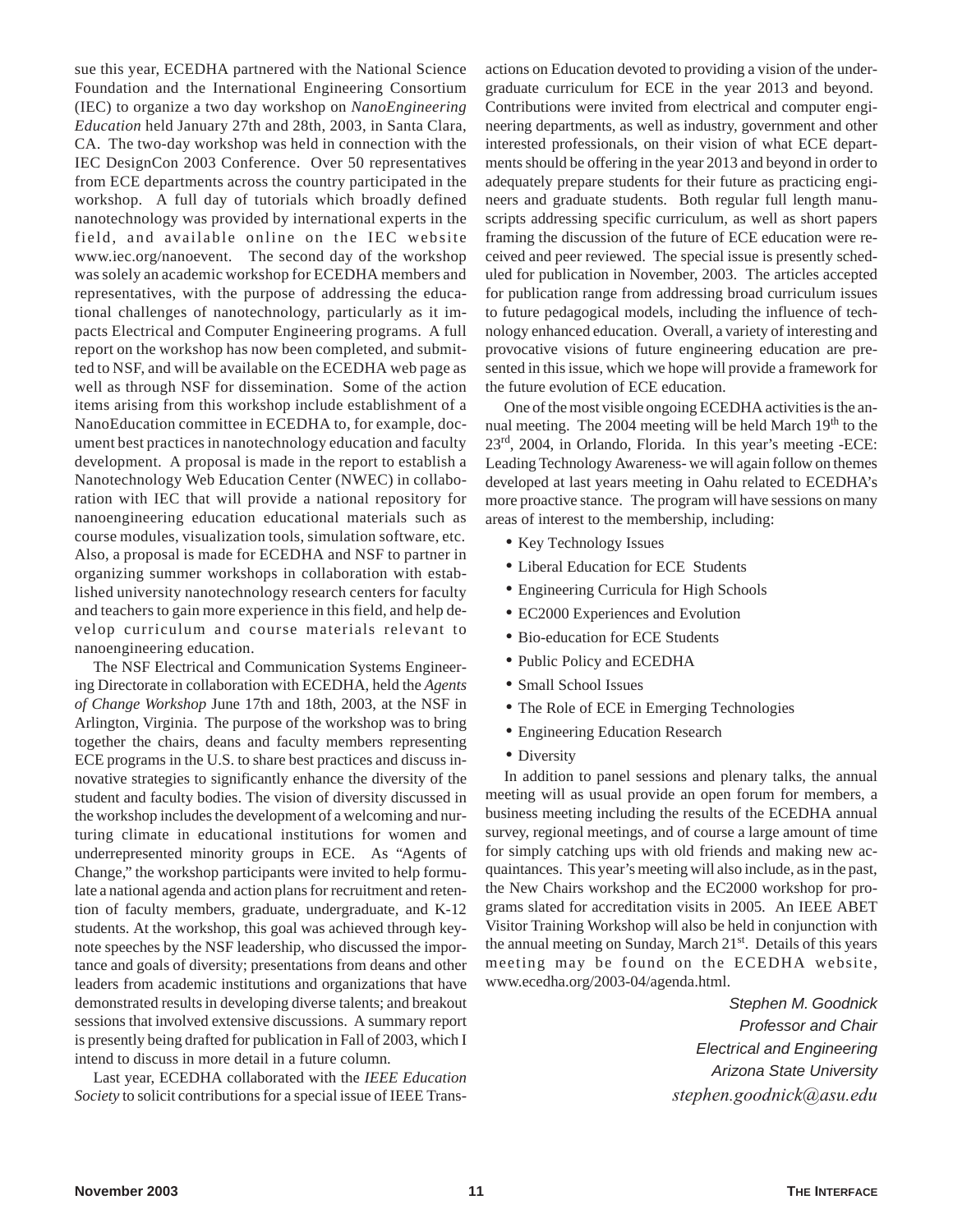sue this year, ECEDHA partnered with the National Science Foundation and the International Engineering Consortium (IEC) to organize a two day workshop on *NanoEngineering Education* held January 27th and 28th, 2003, in Santa Clara, CA. The two-day workshop was held in connection with the IEC DesignCon 2003 Conference. Over 50 representatives from ECE departments across the country participated in the workshop. A full day of tutorials which broadly defined nanotechnology was provided by international experts in the field, and available online on the IEC website www.iec.org/nanoevent. The second day of the workshop was solely an academic workshop for ECEDHA members and representatives, with the purpose of addressing the educational challenges of nanotechnology, particularly as it impacts Electrical and Computer Engineering programs. A full report on the workshop has now been completed, and submitted to NSF, and will be available on the ECEDHA web page as well as through NSF for dissemination. Some of the action items arising from this workshop include establishment of a NanoEducation committee in ECEDHA to, for example, document best practices in nanotechnology education and faculty development. A proposal is made in the report to establish a Nanotechnology Web Education Center (NWEC) in collaboration with IEC that will provide a national repository for nanoengineering education educational materials such as course modules, visualization tools, simulation software, etc. Also, a proposal is made for ECEDHA and NSF to partner in organizing summer workshops in collaboration with established university nanotechnology research centers for faculty and teachers to gain more experience in this field, and help develop curriculum and course materials relevant to nanoengineering education.

The NSF Electrical and Communication Systems Engineering Directorate in collaboration with ECEDHA, held the *Agents of Change Workshop* June 17th and 18th, 2003, at the NSF in Arlington, Virginia. The purpose of the workshop was to bring together the chairs, deans and faculty members representing ECE programs in the U.S. to share best practices and discuss innovative strategies to significantly enhance the diversity of the student and faculty bodies. The vision of diversity discussed in the workshop includes the development of a welcoming and nurturing climate in educational institutions for women and underrepresented minority groups in ECE. As "Agents of Change," the workshop participants were invited to help formulate a national agenda and action plans for recruitment and retention of faculty members, graduate, undergraduate, and K-12 students. At the workshop, this goal was achieved through keynote speeches by the NSF leadership, who discussed the importance and goals of diversity; presentations from deans and other leaders from academic institutions and organizations that have demonstrated results in developing diverse talents; and breakout sessions that involved extensive discussions. A summary report is presently being drafted for publication in Fall of 2003, which I intend to discuss in more detail in a future column.

Last year, ECEDHA collaborated with the *IEEE Education Society* to solicit contributions for a special issue of IEEE Transactions on Education devoted to providing a vision of the undergraduate curriculum for ECE in the year 2013 and beyond. Contributions were invited from electrical and computer engineering departments, as well as industry, government and other interested professionals, on their vision of what ECE departments should be offering in the year 2013 and beyond in order to adequately prepare students for their future as practicing engineers and graduate students. Both regular full length manuscripts addressing specific curriculum, as well as short papers framing the discussion of the future of ECE education were received and peer reviewed. The special issue is presently scheduled for publication in November, 2003. The articles accepted for publication range from addressing broad curriculum issues to future pedagogical models, including the influence of technology enhanced education. Overall, a variety of interesting and provocative visions of future engineering education are presented in this issue, which we hope will provide a framework for the future evolution of ECE education.

One of the most visible ongoing ECEDHA activities is the annual meeting. The 2004 meeting will be held March 19<sup>th</sup> to the 23rd, 2004, in Orlando, Florida. In this year's meeting -ECE: Leading Technology Awareness- we will again follow on themes developed at last years meeting in Oahu related to ECEDHA's more proactive stance. The program will have sessions on many areas of interest to the membership, including:

- Key Technology Issues
- Liberal Education for ECE Students
- Engineering Curricula for High Schools
- EC2000 Experiences and Evolution
- Bio-education for ECE Students
- Public Policy and ECEDHA
- Small School Issues
- The Role of ECE in Emerging Technologies
- Engineering Education Research
- Diversity

In addition to panel sessions and plenary talks, the annual meeting will as usual provide an open forum for members, a business meeting including the results of the ECEDHA annual survey, regional meetings, and of course a large amount of time for simply catching ups with old friends and making new acquaintances. This year's meeting will also include, as in the past, the New Chairs workshop and the EC2000 workshop for programs slated for accreditation visits in 2005. An IEEE ABET Visitor Training Workshop will also be held in conjunction with the annual meeting on Sunday, March 21<sup>st</sup>. Details of this years meeting may be found on the ECEDHA website, www.ecedha.org/2003-04/agenda.html.

> Stephen M. Goodnick Professor and Chair Electrical and Engineering Arizona State University *stephen.goodnick@asu.edu*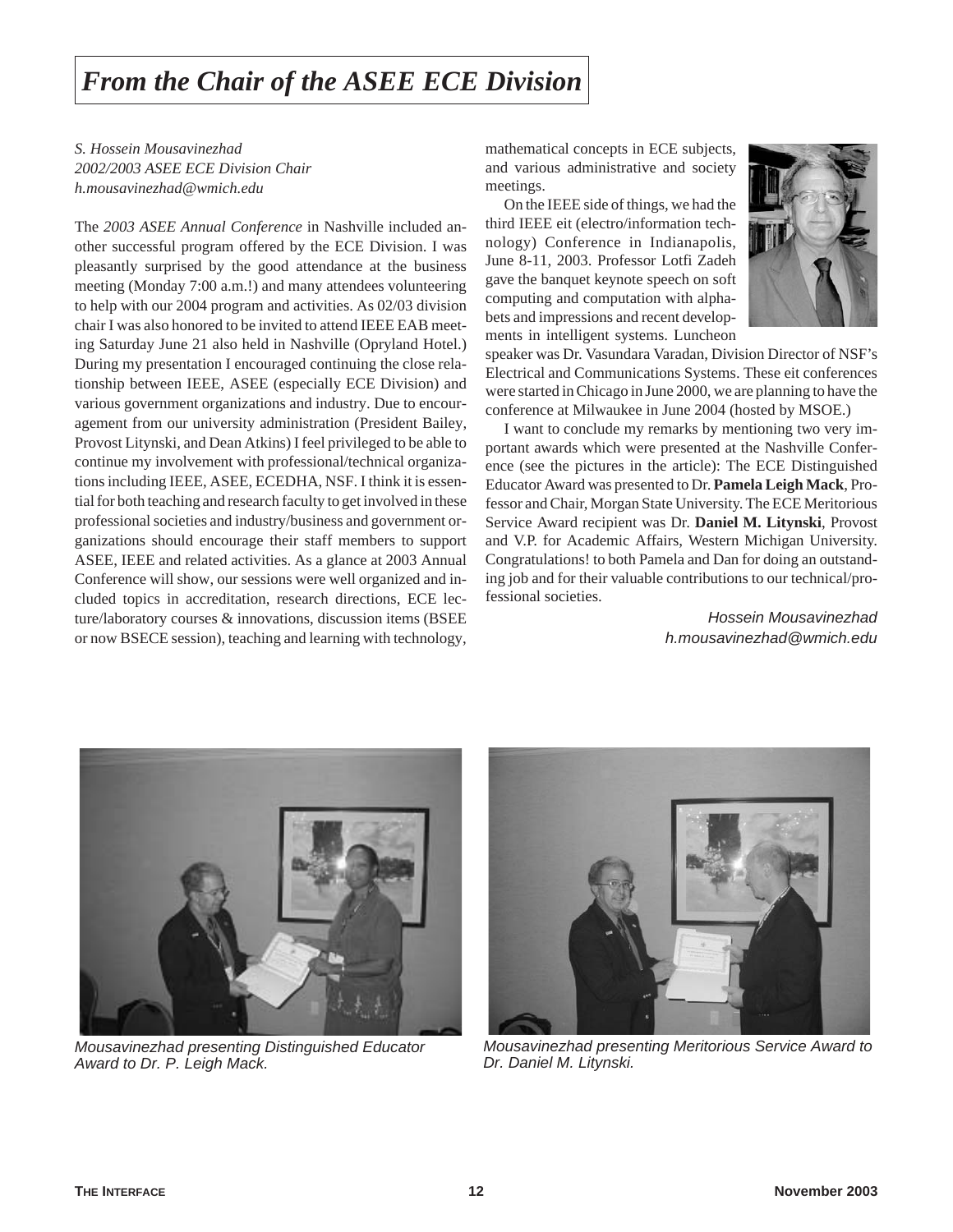## *From the Chair of the ASEE ECE Division*

*S. Hossein Mousavinezhad 2002/2003 ASEE ECE Division Chair h.mousavinezhad@wmich.edu*

The *2003 ASEE Annual Conference* in Nashville included another successful program offered by the ECE Division. I was pleasantly surprised by the good attendance at the business meeting (Monday 7:00 a.m.!) and many attendees volunteering to help with our 2004 program and activities. As 02/03 division chair I was also honored to be invited to attend IEEE EAB meeting Saturday June 21 also held in Nashville (Opryland Hotel.) During my presentation I encouraged continuing the close relationship between IEEE, ASEE (especially ECE Division) and various government organizations and industry. Due to encouragement from our university administration (President Bailey, Provost Litynski, and Dean Atkins) I feel privileged to be able to continue my involvement with professional/technical organizations including IEEE, ASEE, ECEDHA, NSF. I think it is essential for both teaching and research faculty to get involved in these professional societies and industry/business and government organizations should encourage their staff members to support ASEE, IEEE and related activities. As a glance at 2003 Annual Conference will show, our sessions were well organized and included topics in accreditation, research directions, ECE lecture/laboratory courses & innovations, discussion items (BSEE or now BSECE session), teaching and learning with technology,

mathematical concepts in ECE subjects, and various administrative and society meetings.

On the IEEE side of things, we had the third IEEE eit (electro/information technology) Conference in Indianapolis, June 8-11, 2003. Professor Lotfi Zadeh gave the banquet keynote speech on soft computing and computation with alphabets and impressions and recent developments in intelligent systems. Luncheon



speaker was Dr. Vasundara Varadan, Division Director of NSF's Electrical and Communications Systems. These eit conferences were started in Chicago in June 2000, we are planning to have the conference at Milwaukee in June 2004 (hosted by MSOE.)

I want to conclude my remarks by mentioning two very important awards which were presented at the Nashville Conference (see the pictures in the article): The ECE Distinguished Educator Award was presented to Dr. **Pamela Leigh Mack**, Professor and Chair, Morgan State University. The ECE Meritorious Service Award recipient was Dr. **Daniel M. Litynski**, Provost and V.P. for Academic Affairs, Western Michigan University. Congratulations! to both Pamela and Dan for doing an outstanding job and for their valuable contributions to our technical/professional societies.

> Hossein Mousavinezhad h.mousavinezhad@wmich.edu



Mousavinezhad presenting Distinguished Educator Award to Dr. P. Leigh Mack.



Mousavinezhad presenting Meritorious Service Award to Dr. Daniel M. Litynski.